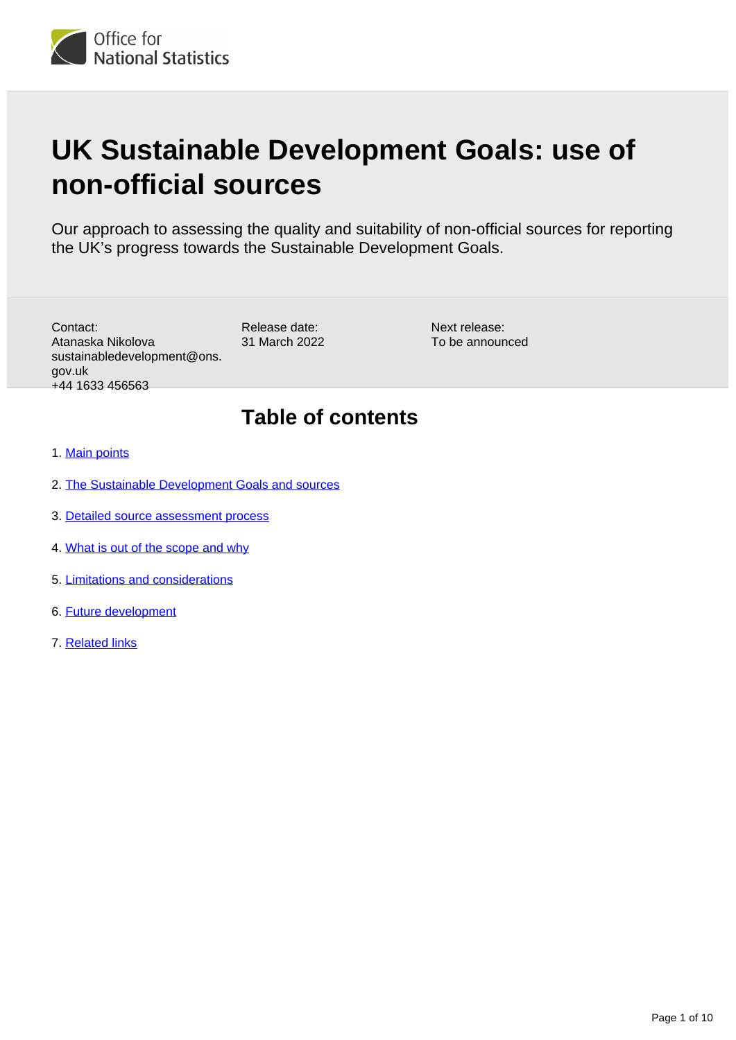# **UK Sustainable Development Goals: use of non-official sources**

Our approach to assessing the quality and suitability of non-official sources for reporting the UK's progress towards the Sustainable Development Goals.

Contact: Atanaska Nikolova sustainabledevelopment@ons. gov.uk +44 1633 456563

Release date: 31 March 2022 Next release: To be announced

## **Table of contents**

- 1. [Main points](#page-1-0)
- 2. [The Sustainable Development Goals and sources](#page-1-1)
- 3. [Detailed source assessment process](#page-5-0)
- 4. [What is out of the scope and why](#page-7-0)
- 5. [Limitations and considerations](#page-8-0)
- 6. [Future development](#page-9-0)
- 7. [Related links](#page-9-1)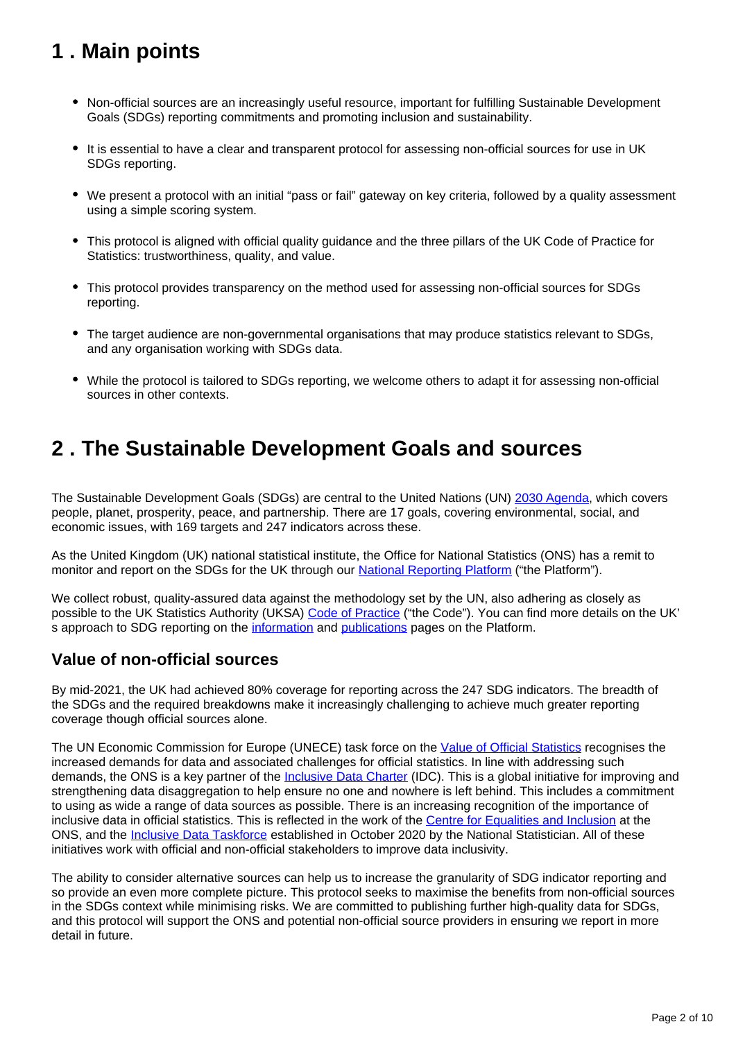## <span id="page-1-0"></span>**1 . Main points**

- Non-official sources are an increasingly useful resource, important for fulfilling Sustainable Development Goals (SDGs) reporting commitments and promoting inclusion and sustainability.
- It is essential to have a clear and transparent protocol for assessing non-official sources for use in UK SDGs reporting.
- We present a protocol with an initial "pass or fail" gateway on key criteria, followed by a quality assessment using a simple scoring system.
- This protocol is aligned with official quality guidance and the three pillars of the UK Code of Practice for Statistics: trustworthiness, quality, and value.
- This protocol provides transparency on the method used for assessing non-official sources for SDGs reporting.
- The target audience are non-governmental organisations that may produce statistics relevant to SDGs, and any organisation working with SDGs data.
- While the protocol is tailored to SDGs reporting, we welcome others to adapt it for assessing non-official sources in other contexts.

## <span id="page-1-1"></span>**2 . The Sustainable Development Goals and sources**

The Sustainable Development Goals (SDGs) are central to the United Nations (UN) [2030 Agenda,](https://sdgs.un.org/2030agenda) which covers people, planet, prosperity, peace, and partnership. There are 17 goals, covering environmental, social, and economic issues, with 169 targets and 247 indicators across these.

As the United Kingdom (UK) national statistical institute, the Office for National Statistics (ONS) has a remit to monitor and report on the SDGs for the UK through our **[National Reporting Platform](https://sdgdata.gov.uk/)** ("the Platform").

We collect robust, quality-assured data against the methodology set by the UN, also adhering as closely as possible to the UK Statistics Authority (UKSA) [Code of Practice](https://code.statisticsauthority.gov.uk/the-code/) ("the Code"). You can find more details on the UK' s approach to SDG reporting on the [information](https://sdgdata.gov.uk/about/) and [publications](https://sdgdata.gov.uk/publications/) pages on the Platform.

## **Value of non-official sources**

By mid-2021, the UK had achieved 80% coverage for reporting across the 247 SDG indicators. The breadth of the SDGs and the required breakdowns make it increasingly challenging to achieve much greater reporting coverage though official sources alone.

The UN Economic Commission for Europe (UNECE) task force on the [Value of Official Statistics](https://unece.org/fileadmin/DAM/stats/publications/2018/ECECESSTAT20182.pdf) recognises the increased demands for data and associated challenges for official statistics. In line with addressing such demands, the ONS is a key partner of the *Inclusive Data Charter* (IDC). This is a global initiative for improving and strengthening data disaggregation to help ensure no one and nowhere is left behind. This includes a commitment to using as wide a range of data sources as possible. There is an increasing recognition of the importance of inclusive data in official statistics. This is reflected in the work of the [Centre for Equalities and Inclusion](https://www.ons.gov.uk/aboutus/whatwedo/programmesandprojects/onscentres/centreforequalitiesandinclusion) at the ONS, and the [Inclusive Data Taskforce](https://uksa.statisticsauthority.gov.uk/the-authority-board/committees/inclusive-data-taskforce/) established in October 2020 by the National Statistician. All of these initiatives work with official and non-official stakeholders to improve data inclusivity.

The ability to consider alternative sources can help us to increase the granularity of SDG indicator reporting and so provide an even more complete picture. This protocol seeks to maximise the benefits from non-official sources in the SDGs context while minimising risks. We are committed to publishing further high-quality data for SDGs, and this protocol will support the ONS and potential non-official source providers in ensuring we report in more detail in future.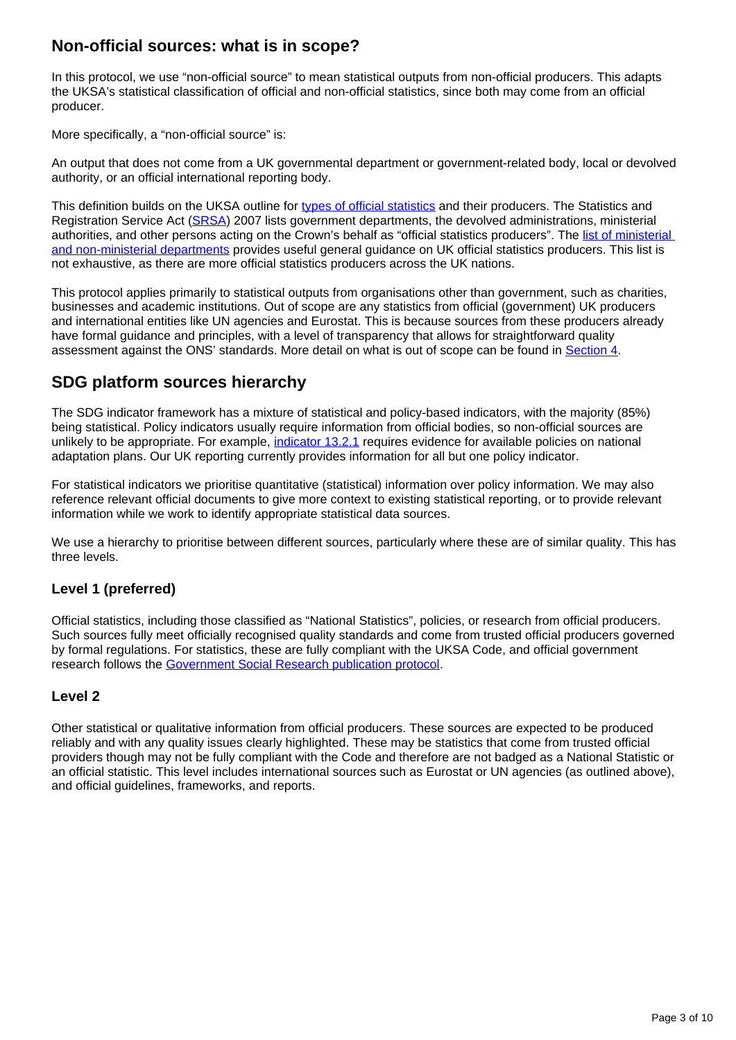## **Non-official sources: what is in scope?**

In this protocol, we use "non-official source" to mean statistical outputs from non-official producers. This adapts the UKSA's statistical classification of official and non-official statistics, since both may come from an official producer.

More specifically, a "non-official source" is:

An output that does not come from a UK governmental department or government-related body, local or devolved authority, or an official international reporting body.

This definition builds on the UKSA outline for [types of official statistics](https://uksa.statisticsauthority.gov.uk/about-the-authority/uk-statistical-system/types-of-official-statistics/) and their producers. The Statistics and Registration Service Act ([SRSA](https://www.legislation.gov.uk/ukpga/2007/18/section/6)) 2007 lists government departments, the devolved administrations, ministerial authorities, and other persons acting on the Crown's behalf as "official statistics producers". The list of ministerial [and non-ministerial departments](https://www.gov.uk/government/organisations) provides useful general guidance on UK official statistics producers. This list is not exhaustive, as there are more official statistics producers across the UK nations.

This protocol applies primarily to statistical outputs from organisations other than government, such as charities, businesses and academic institutions. Out of scope are any statistics from official (government) UK producers and international entities like UN agencies and Eurostat. This is because sources from these producers already have formal guidance and principles, with a level of transparency that allows for straightforward quality assessment against the ONS' standards. More detail on what is out of scope can be found in [Section 4.](https://www.ons.gov.uk/economy/environmentalaccounts/methodologies/uksustainabledevelopmentgoalsuseofnonofficialsources#what-is-out-of-the-scope-and-why)

## **SDG platform sources hierarchy**

The SDG indicator framework has a mixture of statistical and policy-based indicators, with the majority (85%) being statistical. Policy indicators usually require information from official bodies, so non-official sources are unlikely to be appropriate. For example, [indicator 13.2.1](https://sdgdata.gov.uk/13-2-1/) requires evidence for available policies on national adaptation plans. Our UK reporting currently provides information for all but one policy indicator.

For statistical indicators we prioritise quantitative (statistical) information over policy information. We may also reference relevant official documents to give more context to existing statistical reporting, or to provide relevant information while we work to identify appropriate statistical data sources.

We use a hierarchy to prioritise between different sources, particularly where these are of similar quality. This has three levels.

#### **Level 1 (preferred)**

Official statistics, including those classified as "National Statistics", policies, or research from official producers. Such sources fully meet officially recognised quality standards and come from trusted official producers governed by formal regulations. For statistics, these are fully compliant with the UKSA Code, and official government research follows the [Government Social Research publication protocol.](https://www.gov.uk/government/publications/government-social-research-publication-protocols)

#### **Level 2**

Other statistical or qualitative information from official producers. These sources are expected to be produced reliably and with any quality issues clearly highlighted. These may be statistics that come from trusted official providers though may not be fully compliant with the Code and therefore are not badged as a National Statistic or an official statistic. This level includes international sources such as Eurostat or UN agencies (as outlined above), and official guidelines, frameworks, and reports.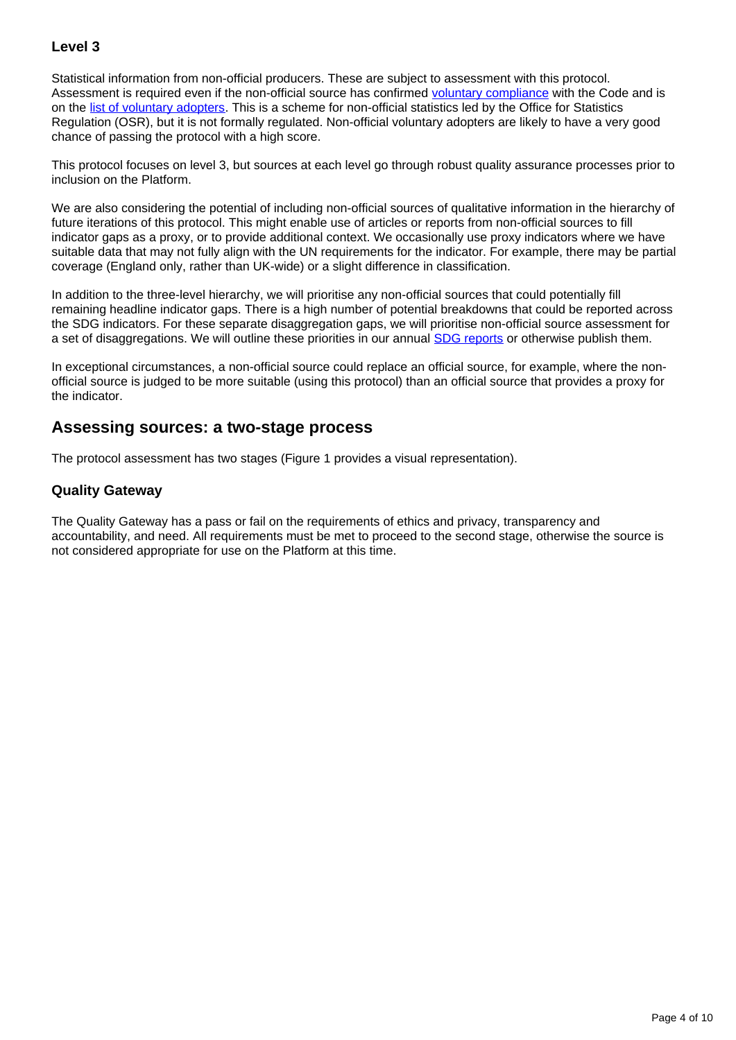### **Level 3**

Statistical information from non-official producers. These are subject to assessment with this protocol. Assessment is required even if the non-official source has confirmed [voluntary compliance](https://code.statisticsauthority.gov.uk/voluntary-application/) with the Code and is on the [list of voluntary adopters](https://code.statisticsauthority.gov.uk/list-of-voluntary-adopters/). This is a scheme for non-official statistics led by the Office for Statistics Regulation (OSR), but it is not formally regulated. Non-official voluntary adopters are likely to have a very good chance of passing the protocol with a high score.

This protocol focuses on level 3, but sources at each level go through robust quality assurance processes prior to inclusion on the Platform.

We are also considering the potential of including non-official sources of qualitative information in the hierarchy of future iterations of this protocol. This might enable use of articles or reports from non-official sources to fill indicator gaps as a proxy, or to provide additional context. We occasionally use proxy indicators where we have suitable data that may not fully align with the UN requirements for the indicator. For example, there may be partial coverage (England only, rather than UK-wide) or a slight difference in classification.

In addition to the three-level hierarchy, we will prioritise any non-official sources that could potentially fill remaining headline indicator gaps. There is a high number of potential breakdowns that could be reported across the SDG indicators. For these separate disaggregation gaps, we will prioritise non-official source assessment for a set of disaggregations. We will outline these priorities in our annual **SDG reports** or otherwise publish them.

In exceptional circumstances, a non-official source could replace an official source, for example, where the nonofficial source is judged to be more suitable (using this protocol) than an official source that provides a proxy for the indicator.

### **Assessing sources: a two-stage process**

The protocol assessment has two stages (Figure 1 provides a visual representation).

#### **Quality Gateway**

The Quality Gateway has a pass or fail on the requirements of ethics and privacy, transparency and accountability, and need. All requirements must be met to proceed to the second stage, otherwise the source is not considered appropriate for use on the Platform at this time.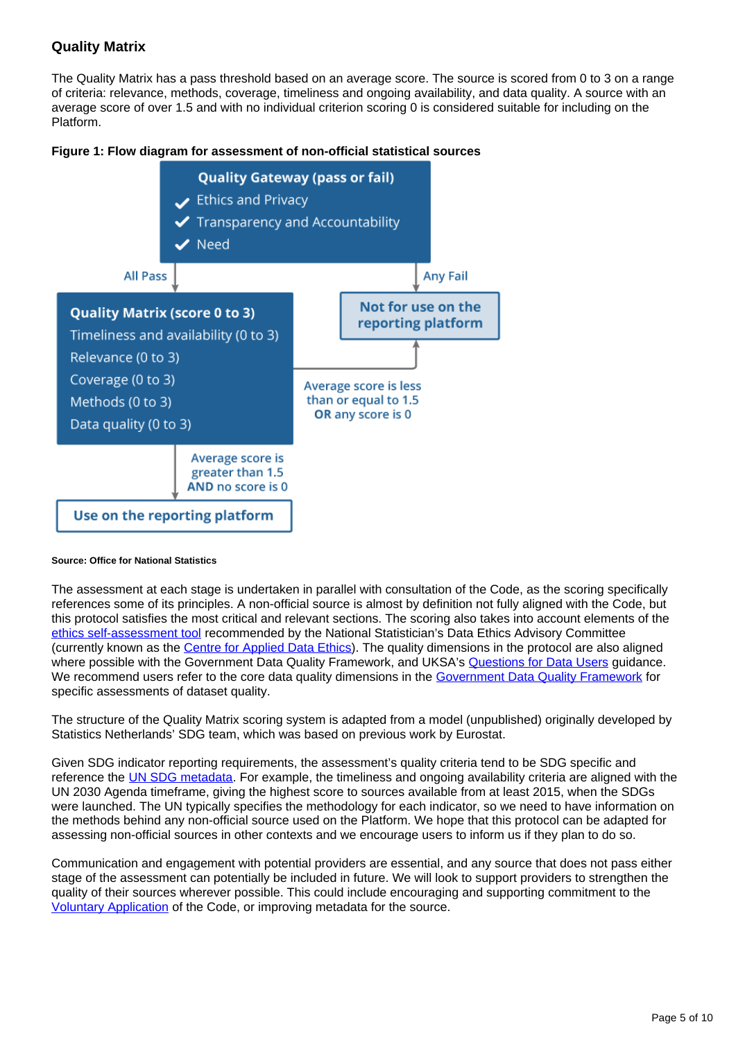#### **Quality Matrix**

The Quality Matrix has a pass threshold based on an average score. The source is scored from 0 to 3 on a range of criteria: relevance, methods, coverage, timeliness and ongoing availability, and data quality. A source with an average score of over 1.5 and with no individual criterion scoring 0 is considered suitable for including on the Platform.





#### **Source: Office for National Statistics**

The assessment at each stage is undertaken in parallel with consultation of the Code, as the scoring specifically references some of its principles. A non-official source is almost by definition not fully aligned with the Code, but this protocol satisfies the most critical and relevant sections. The scoring also takes into account elements of the [ethics self-assessment tool](https://uksa.statisticsauthority.gov.uk/about-the-authority/committees/national-statisticians-data-ethics-advisory-committee/ethics-self-assessment-tool/) recommended by the National Statistician's Data Ethics Advisory Committee (currently known as the [Centre for Applied Data Ethics](https://uksa.statisticsauthority.gov.uk/what-we-do/data-ethics/centre-for-applied-data-ethics/)). The quality dimensions in the protocol are also aligned where possible with the Government Data Quality Framework, and UKSA's [Questions for Data Users](https://code.statisticsauthority.gov.uk/questions-for-data-users/) guidance. We recommend users refer to the core data quality dimensions in the [Government Data Quality Framework](https://www.gov.uk/government/publications/the-government-data-quality-framework/the-government-data-quality-framework#Data-quality-dimensions) for specific assessments of dataset quality.

The structure of the Quality Matrix scoring system is adapted from a model (unpublished) originally developed by Statistics Netherlands' SDG team, which was based on previous work by Eurostat.

Given SDG indicator reporting requirements, the assessment's quality criteria tend to be SDG specific and reference the [UN SDG metadata](https://unstats.un.org/sdgs/metadata/). For example, the timeliness and ongoing availability criteria are aligned with the UN 2030 Agenda timeframe, giving the highest score to sources available from at least 2015, when the SDGs were launched. The UN typically specifies the methodology for each indicator, so we need to have information on the methods behind any non-official source used on the Platform. We hope that this protocol can be adapted for assessing non-official sources in other contexts and we encourage users to inform us if they plan to do so.

Communication and engagement with potential providers are essential, and any source that does not pass either stage of the assessment can potentially be included in future. We will look to support providers to strengthen the quality of their sources wherever possible. This could include encouraging and supporting commitment to the [Voluntary Application](https://code.statisticsauthority.gov.uk/voluntary-application/) of the Code, or improving metadata for the source.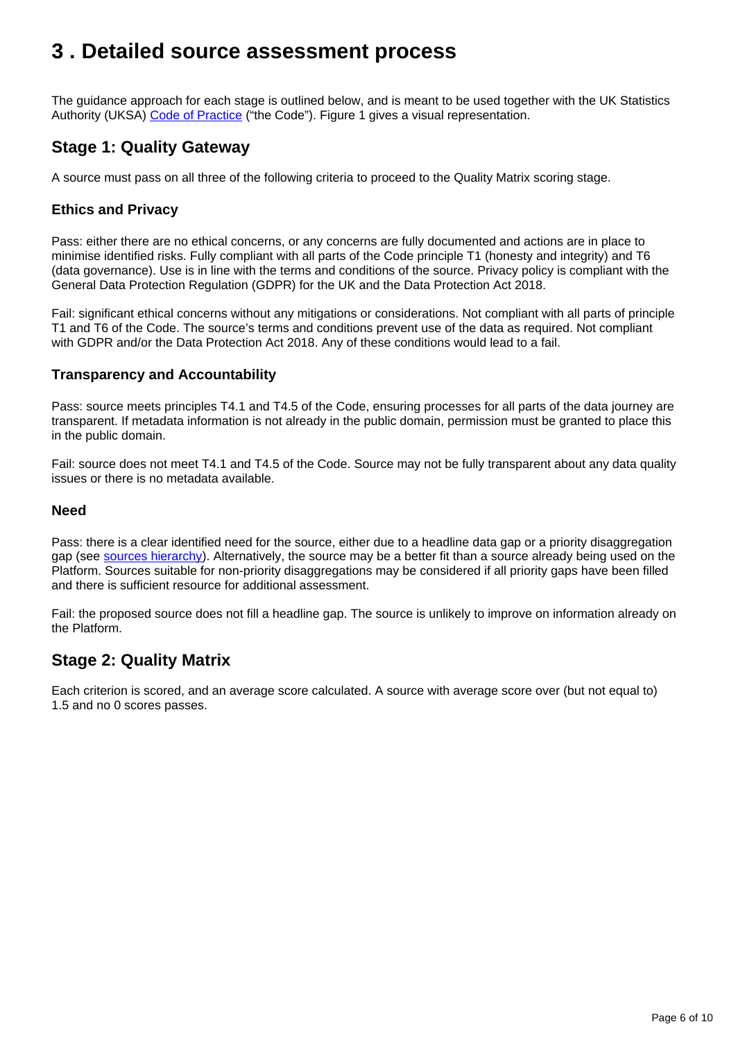## <span id="page-5-0"></span>**3 . Detailed source assessment process**

The guidance approach for each stage is outlined below, and is meant to be used together with the UK Statistics Authority (UKSA) [Code of Practice](https://code.statisticsauthority.gov.uk/the-code/) ("the Code"). Figure 1 gives a visual representation.

## **Stage 1: Quality Gateway**

A source must pass on all three of the following criteria to proceed to the Quality Matrix scoring stage.

#### **Ethics and Privacy**

Pass: either there are no ethical concerns, or any concerns are fully documented and actions are in place to minimise identified risks. Fully compliant with all parts of the Code principle T1 (honesty and integrity) and T6 (data governance). Use is in line with the terms and conditions of the source. Privacy policy is compliant with the General Data Protection Regulation (GDPR) for the UK and the Data Protection Act 2018.

Fail: significant ethical concerns without any mitigations or considerations. Not compliant with all parts of principle T1 and T6 of the Code. The source's terms and conditions prevent use of the data as required. Not compliant with GDPR and/or the Data Protection Act 2018. Any of these conditions would lead to a fail.

#### **Transparency and Accountability**

Pass: source meets principles T4.1 and T4.5 of the Code, ensuring processes for all parts of the data journey are transparent. If metadata information is not already in the public domain, permission must be granted to place this in the public domain.

Fail: source does not meet T4.1 and T4.5 of the Code. Source may not be fully transparent about any data quality issues or there is no metadata available.

#### **Need**

Pass: there is a clear identified need for the source, either due to a headline data gap or a priority disaggregation gap (see [sources hierarchy\)](https://www.ons.gov.uk/economy/environmentalaccounts/methodologies/uksustainabledevelopmentgoalsuseofnonofficialsources#the-sustainable-development-goals-and-sources). Alternatively, the source may be a better fit than a source already being used on the Platform. Sources suitable for non-priority disaggregations may be considered if all priority gaps have been filled and there is sufficient resource for additional assessment.

Fail: the proposed source does not fill a headline gap. The source is unlikely to improve on information already on the Platform.

## **Stage 2: Quality Matrix**

Each criterion is scored, and an average score calculated. A source with average score over (but not equal to) 1.5 and no 0 scores passes.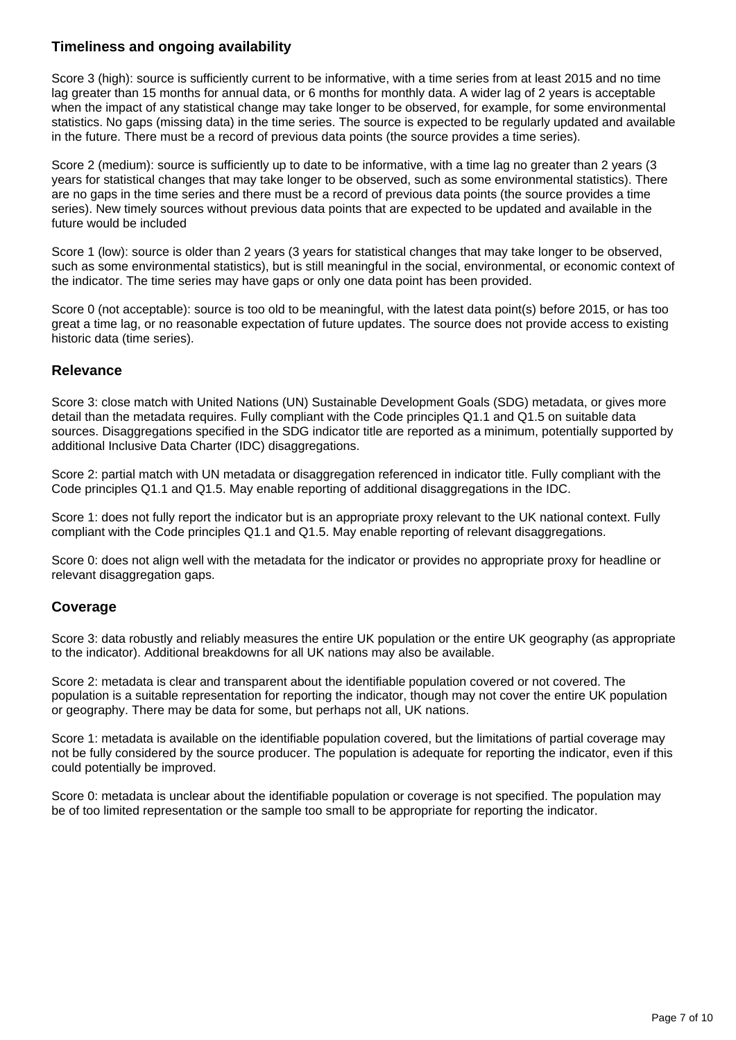#### **Timeliness and ongoing availability**

Score 3 (high): source is sufficiently current to be informative, with a time series from at least 2015 and no time lag greater than 15 months for annual data, or 6 months for monthly data. A wider lag of 2 years is acceptable when the impact of any statistical change may take longer to be observed, for example, for some environmental statistics. No gaps (missing data) in the time series. The source is expected to be regularly updated and available in the future. There must be a record of previous data points (the source provides a time series).

Score 2 (medium): source is sufficiently up to date to be informative, with a time lag no greater than 2 years (3 years for statistical changes that may take longer to be observed, such as some environmental statistics). There are no gaps in the time series and there must be a record of previous data points (the source provides a time series). New timely sources without previous data points that are expected to be updated and available in the future would be included

Score 1 (low): source is older than 2 years (3 years for statistical changes that may take longer to be observed, such as some environmental statistics), but is still meaningful in the social, environmental, or economic context of the indicator. The time series may have gaps or only one data point has been provided.

Score 0 (not acceptable): source is too old to be meaningful, with the latest data point(s) before 2015, or has too great a time lag, or no reasonable expectation of future updates. The source does not provide access to existing historic data (time series).

#### **Relevance**

Score 3: close match with United Nations (UN) Sustainable Development Goals (SDG) metadata, or gives more detail than the metadata requires. Fully compliant with the Code principles Q1.1 and Q1.5 on suitable data sources. Disaggregations specified in the SDG indicator title are reported as a minimum, potentially supported by additional Inclusive Data Charter (IDC) disaggregations.

Score 2: partial match with UN metadata or disaggregation referenced in indicator title. Fully compliant with the Code principles Q1.1 and Q1.5. May enable reporting of additional disaggregations in the IDC.

Score 1: does not fully report the indicator but is an appropriate proxy relevant to the UK national context. Fully compliant with the Code principles Q1.1 and Q1.5. May enable reporting of relevant disaggregations.

Score 0: does not align well with the metadata for the indicator or provides no appropriate proxy for headline or relevant disaggregation gaps.

#### **Coverage**

Score 3: data robustly and reliably measures the entire UK population or the entire UK geography (as appropriate to the indicator). Additional breakdowns for all UK nations may also be available.

Score 2: metadata is clear and transparent about the identifiable population covered or not covered. The population is a suitable representation for reporting the indicator, though may not cover the entire UK population or geography. There may be data for some, but perhaps not all, UK nations.

Score 1: metadata is available on the identifiable population covered, but the limitations of partial coverage may not be fully considered by the source producer. The population is adequate for reporting the indicator, even if this could potentially be improved.

Score 0: metadata is unclear about the identifiable population or coverage is not specified. The population may be of too limited representation or the sample too small to be appropriate for reporting the indicator.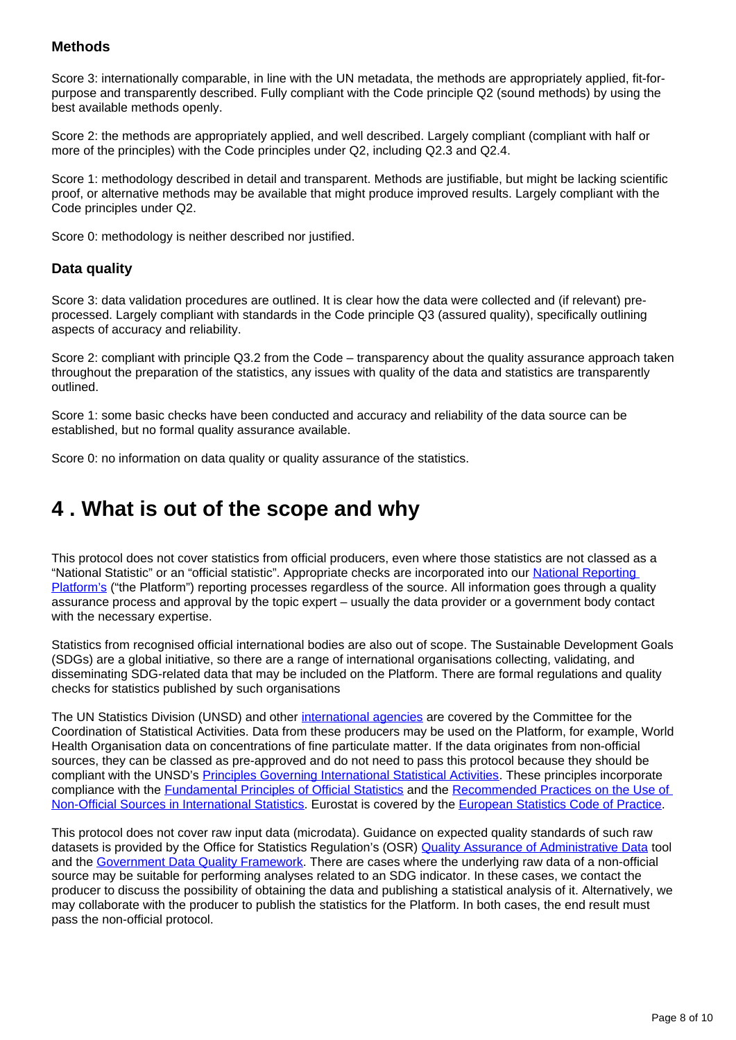#### **Methods**

Score 3: internationally comparable, in line with the UN metadata, the methods are appropriately applied, fit-forpurpose and transparently described. Fully compliant with the Code principle Q2 (sound methods) by using the best available methods openly.

Score 2: the methods are appropriately applied, and well described. Largely compliant (compliant with half or more of the principles) with the Code principles under Q2, including Q2.3 and Q2.4.

Score 1: methodology described in detail and transparent. Methods are justifiable, but might be lacking scientific proof, or alternative methods may be available that might produce improved results. Largely compliant with the Code principles under Q2.

Score 0: methodology is neither described nor justified.

#### **Data quality**

Score 3: data validation procedures are outlined. It is clear how the data were collected and (if relevant) preprocessed. Largely compliant with standards in the Code principle Q3 (assured quality), specifically outlining aspects of accuracy and reliability.

Score 2: compliant with principle Q3.2 from the Code – transparency about the quality assurance approach taken throughout the preparation of the statistics, any issues with quality of the data and statistics are transparently outlined.

Score 1: some basic checks have been conducted and accuracy and reliability of the data source can be established, but no formal quality assurance available.

Score 0: no information on data quality or quality assurance of the statistics.

## <span id="page-7-0"></span>**4 . What is out of the scope and why**

This protocol does not cover statistics from official producers, even where those statistics are not classed as a "National Statistic" or an "official statistic". Appropriate checks are incorporated into our [National Reporting](https://sdgdata.gov.uk/)  [Platform's](https://sdgdata.gov.uk/) ("the Platform") reporting processes regardless of the source. All information goes through a quality assurance process and approval by the topic expert – usually the data provider or a government body contact with the necessary expertise.

Statistics from recognised official international bodies are also out of scope. The Sustainable Development Goals (SDGs) are a global initiative, so there are a range of international organisations collecting, validating, and disseminating SDG-related data that may be included on the Platform. There are formal regulations and quality checks for statistics published by such organisations

The UN Statistics Division (UNSD) and other [international agencies](https://unstats.un.org/unsd/ccsa/principles_stat_activities/endorse.cshtml) are covered by the Committee for the Coordination of Statistical Activities. Data from these producers may be used on the Platform, for example, World Health Organisation data on concentrations of fine particulate matter. If the data originates from non-official sources, they can be classed as pre-approved and do not need to pass this protocol because they should be compliant with the UNSD's [Principles Governing International Statistical Activities.](https://unstats.un.org/unsd/ccsa/principles_stat_activities/) These principles incorporate compliance with the **Fundamental Principles of Official Statistics** and the Recommended Practices on the Use of [Non-Official Sources in International Statistics](https://unstats.un.org/unsd/ccsa/documents/practices.pdf). Eurostat is covered by the [European Statistics Code of Practice](https://ec.europa.eu/eurostat/web/products-catalogues/-/ks-02-18-142).

This protocol does not cover raw input data (microdata). Guidance on expected quality standards of such raw datasets is provided by the Office for Statistics Regulation's (OSR) [Quality Assurance of Administrative Data](https://osr.statisticsauthority.gov.uk/guidance/administrative-data-and-official-statistics/) tool and the [Government Data Quality Framework](https://www.gov.uk/government/publications/the-government-data-quality-framework/the-government-data-quality-framework). There are cases where the underlying raw data of a non-official source may be suitable for performing analyses related to an SDG indicator. In these cases, we contact the producer to discuss the possibility of obtaining the data and publishing a statistical analysis of it. Alternatively, we may collaborate with the producer to publish the statistics for the Platform. In both cases, the end result must pass the non-official protocol.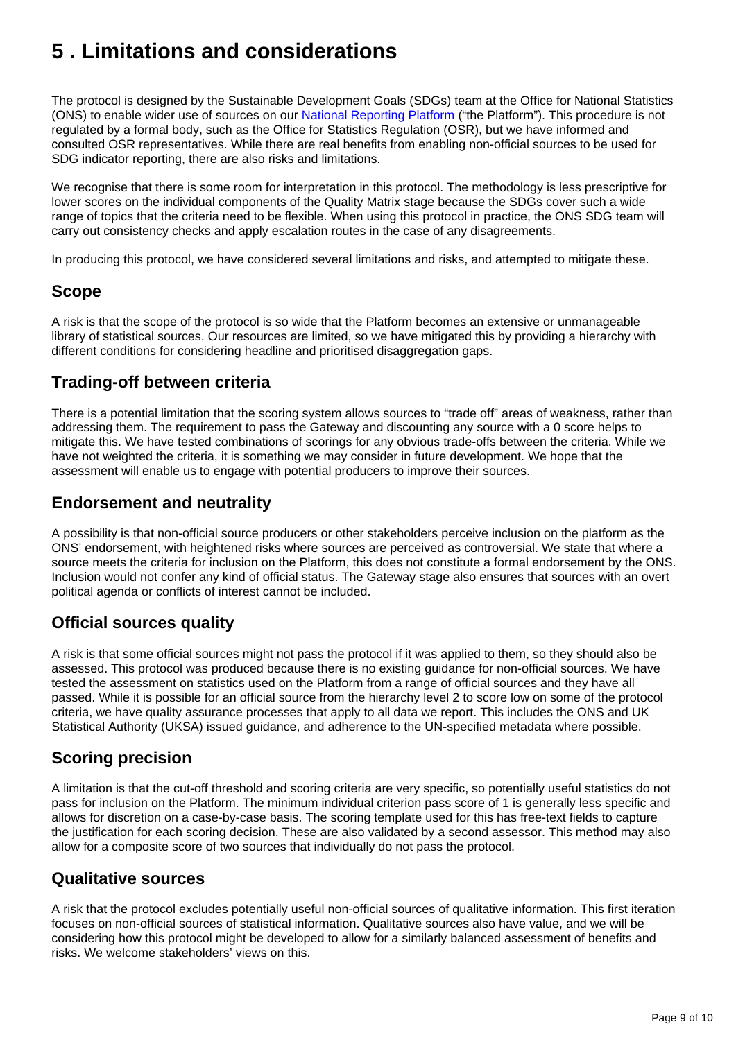## <span id="page-8-0"></span>**5 . Limitations and considerations**

The protocol is designed by the Sustainable Development Goals (SDGs) team at the Office for National Statistics (ONS) to enable wider use of sources on our **National Reporting Platform** ("the Platform"). This procedure is not regulated by a formal body, such as the Office for Statistics Regulation (OSR), but we have informed and consulted OSR representatives. While there are real benefits from enabling non-official sources to be used for SDG indicator reporting, there are also risks and limitations.

We recognise that there is some room for interpretation in this protocol. The methodology is less prescriptive for lower scores on the individual components of the Quality Matrix stage because the SDGs cover such a wide range of topics that the criteria need to be flexible. When using this protocol in practice, the ONS SDG team will carry out consistency checks and apply escalation routes in the case of any disagreements.

In producing this protocol, we have considered several limitations and risks, and attempted to mitigate these.

### **Scope**

A risk is that the scope of the protocol is so wide that the Platform becomes an extensive or unmanageable library of statistical sources. Our resources are limited, so we have mitigated this by providing a hierarchy with different conditions for considering headline and prioritised disaggregation gaps.

## **Trading-off between criteria**

There is a potential limitation that the scoring system allows sources to "trade off" areas of weakness, rather than addressing them. The requirement to pass the Gateway and discounting any source with a 0 score helps to mitigate this. We have tested combinations of scorings for any obvious trade-offs between the criteria. While we have not weighted the criteria, it is something we may consider in future development. We hope that the assessment will enable us to engage with potential producers to improve their sources.

## **Endorsement and neutrality**

A possibility is that non-official source producers or other stakeholders perceive inclusion on the platform as the ONS' endorsement, with heightened risks where sources are perceived as controversial. We state that where a source meets the criteria for inclusion on the Platform, this does not constitute a formal endorsement by the ONS. Inclusion would not confer any kind of official status. The Gateway stage also ensures that sources with an overt political agenda or conflicts of interest cannot be included.

## **Official sources quality**

A risk is that some official sources might not pass the protocol if it was applied to them, so they should also be assessed. This protocol was produced because there is no existing guidance for non-official sources. We have tested the assessment on statistics used on the Platform from a range of official sources and they have all passed. While it is possible for an official source from the hierarchy level 2 to score low on some of the protocol criteria, we have quality assurance processes that apply to all data we report. This includes the ONS and UK Statistical Authority (UKSA) issued guidance, and adherence to the UN-specified metadata where possible.

## **Scoring precision**

A limitation is that the cut-off threshold and scoring criteria are very specific, so potentially useful statistics do not pass for inclusion on the Platform. The minimum individual criterion pass score of 1 is generally less specific and allows for discretion on a case-by-case basis. The scoring template used for this has free-text fields to capture the justification for each scoring decision. These are also validated by a second assessor. This method may also allow for a composite score of two sources that individually do not pass the protocol.

### **Qualitative sources**

A risk that the protocol excludes potentially useful non-official sources of qualitative information. This first iteration focuses on non-official sources of statistical information. Qualitative sources also have value, and we will be considering how this protocol might be developed to allow for a similarly balanced assessment of benefits and risks. We welcome stakeholders' views on this.